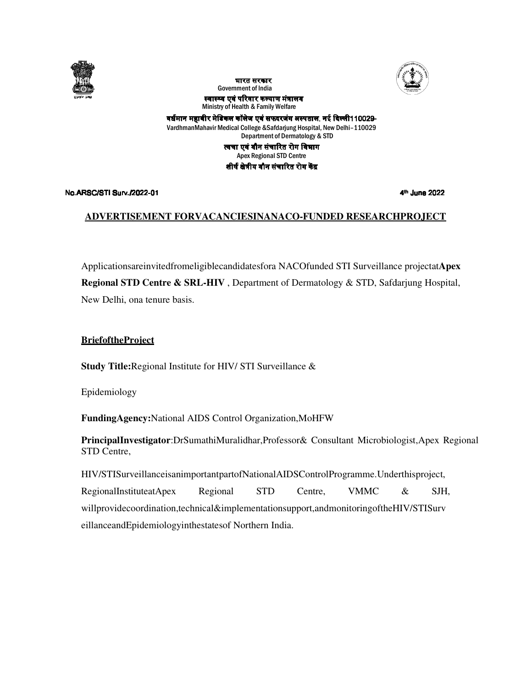





स्वास्थ्य एवं परिवार कल्याण मंत्रालय Ministry of Health & Family Welfare & Family

वर्धमान महावीर मेडिकल कॉलेज एवं सफदरजंग अस्पताल, नई दिल्ली110029-VardhmanMahavir Medical College &Safdarjung Hospital, New Delhi Delhi–110029 Department of Dermatology & STD त्वचा एवं यौन संचारित रोग विभाग Apex Regional STD Centre शीर्ष क्षेत्रीय यौन संचारित रोग केंद्र

#### No.ARSC/STI Surv./2022-01

4<sup>th</sup> June 2022

#### **ADVERTISEMENT FORVACANCIESINA FORVACANCIESINANACO-FUNDED RESEARCHPROJECT RESEARCHPROJECT**

Applicationsareinvitedfromeligiblecandidatesfora NACOfunded STI Surveillance projectatApex **Regional STD Centre & SRL-HIV**, Department of Dermatology & STD, Safdarjung Hospital, New Delhi, ona tenure basis. , Department of Dermatology & STD, Safdarjung Hospital,<br>V/ STI Surveillance &<br>trol Organization,MoHFW<br>trol Organization,MoHFW<br>tralidhar,Professor& Consultant Microbiologist,Apex Regional

#### **BriefoftheProject**

**Study Title:**Regional Institute for HIV/ STI Surveillance &

Epidemiology

Study Title:Regional Institute for HIV/ STI Surveillance &<br>Epidemiology<br>**FundingAgency:**National AIDS Control Organization,MoHFW

PrincipalInvestigator:DrSumathiMuralidhar,Professor& Consultant Microbiologist STD Centre,

HIV/STISurveillanceisanimportantpartofNationalAIDSControlProgramme.Underthisproject, RegionalInstituteatApex Regional STD Centre, VMMC & SJH, willprovidecoordination,technical&implementationsupport,andmonitoringoftheHIV eillanceandEpidemiologyinthestatesof SurveillanceisanimportantpartofNationalAIDSControlProgramme.Underthisproject,<br>
InstituteatApex Regional STD Centre, VMMC & SJH<br>
decoordination,technical&implementationsupport,andmonitoringoftheHIV/STISurv<br>
ndEpidemiologyin RegionalInstituteatApex Regional STD Centre, VMMC & SJH<br>willprovidecoordination,technical&implementationsupport,andmonitoringoftheHIV/STISurv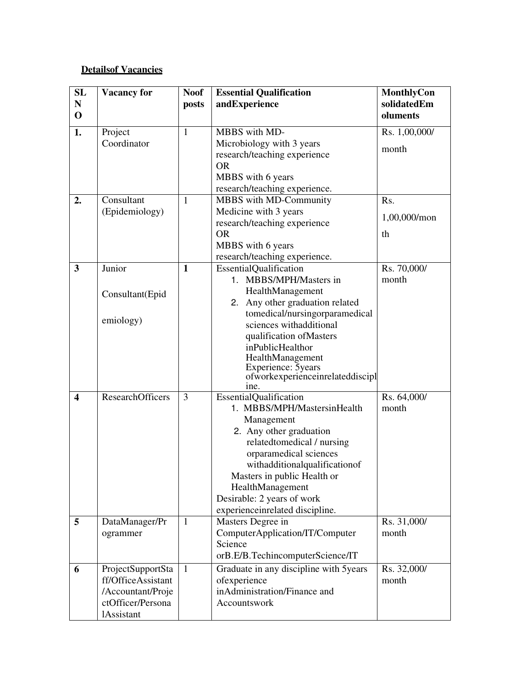# **Detailsof Vacancies**

| SL                      | <b>Vacancy for</b>                      | <b>Noof</b>  | <b>Essential Qualification</b>                           | MonthlyCon           |
|-------------------------|-----------------------------------------|--------------|----------------------------------------------------------|----------------------|
| ${\bf N}$               |                                         | posts        | andExperience                                            | solidatedEm          |
| $\mathbf 0$             |                                         |              |                                                          | oluments             |
| 1.                      | Project                                 | $\mathbf{1}$ | MBBS with MD-                                            | Rs. 1,00,000/        |
|                         | Coordinator                             |              | Microbiology with 3 years                                | month                |
|                         |                                         |              | research/teaching experience                             |                      |
|                         |                                         |              | <b>OR</b>                                                |                      |
|                         |                                         |              | MBBS with 6 years                                        |                      |
|                         |                                         |              | research/teaching experience.                            |                      |
| 2.                      | Consultant                              | $\mathbf{1}$ | MBBS with MD-Community                                   | Rs.                  |
|                         | (Epidemiology)                          |              | Medicine with 3 years                                    | 1,00,000/mon         |
|                         |                                         |              | research/teaching experience                             |                      |
|                         |                                         |              | <b>OR</b>                                                | th                   |
|                         |                                         |              | MBBS with 6 years                                        |                      |
|                         |                                         |              | research/teaching experience.                            |                      |
| $\mathbf{3}$            | Junior                                  | $\mathbf{1}$ | EssentialQualification                                   | Rs. 70,000/          |
|                         |                                         |              | 1. MBBS/MPH/Masters in                                   | month                |
|                         | Consultant(Epid                         |              | HealthManagement                                         |                      |
|                         |                                         |              | 2. Any other graduation related                          |                      |
|                         | emiology)                               |              | tomedical/nursingorparamedical                           |                      |
|                         |                                         |              | sciences withadditional                                  |                      |
|                         |                                         |              | qualification of Masters                                 |                      |
|                         |                                         |              | inPublicHealthor<br>HealthManagement                     |                      |
|                         |                                         |              | Experience: 5years                                       |                      |
|                         |                                         |              | ofworkexperienceinrelateddiscipl                         |                      |
|                         |                                         |              | ine.                                                     |                      |
| $\overline{\mathbf{4}}$ | ResearchOfficers                        | 3            | EssentialQualification                                   | Rs. 64,000/          |
|                         |                                         |              | 1. MBBS/MPH/MastersinHealth                              | month                |
|                         |                                         |              | Management                                               |                      |
|                         |                                         |              | 2. Any other graduation                                  |                      |
|                         |                                         |              | relatedtomedical / nursing                               |                      |
|                         |                                         |              | orparamedical sciences                                   |                      |
|                         |                                         |              | withadditionalqualificationof                            |                      |
|                         |                                         |              | Masters in public Health or                              |                      |
|                         |                                         |              | HealthManagement                                         |                      |
|                         |                                         |              | Desirable: 2 years of work                               |                      |
| $5\overline{)}$         |                                         | $\mathbf{1}$ | experience<br>inrelated discipline.<br>Masters Degree in | Rs. 31,000/          |
|                         | DataManager/Pr<br>ogrammer              |              | ComputerApplication/IT/Computer                          | month                |
|                         |                                         |              | Science                                                  |                      |
|                         |                                         |              | orB.E/B.TechincomputerScience/IT                         |                      |
|                         |                                         |              |                                                          |                      |
| 6                       | ProjectSupportSta<br>ff/OfficeAssistant | 1            | Graduate in any discipline with 5years<br>ofexperience   | Rs. 32,000/<br>month |
|                         |                                         |              | inAdministration/Finance and                             |                      |
|                         | /Accountant/Proje<br>ctOfficer/Persona  |              | Accountswork                                             |                      |
|                         | <b>lAssistant</b>                       |              |                                                          |                      |
|                         |                                         |              |                                                          |                      |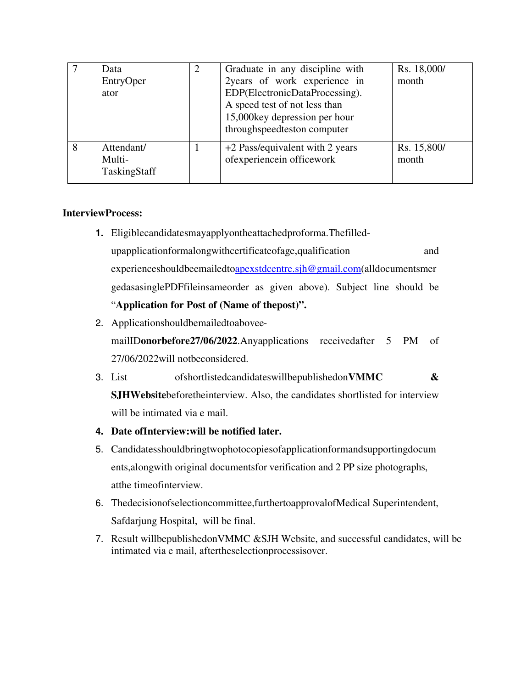|   | Data<br>EntryOper<br>ator            | 2 | Graduate in any discipline with<br>2years of work experience in<br>EDP(ElectronicDataProcessing).<br>A speed test of not less than<br>15,000 key depression per hour<br>throughspeedteston computer | Rs. 18,000/<br>month |
|---|--------------------------------------|---|-----------------------------------------------------------------------------------------------------------------------------------------------------------------------------------------------------|----------------------|
| 8 | Attendant/<br>Multi-<br>TaskingStaff |   | +2 Pass/equivalent with 2 years<br>ofexperiencein officework                                                                                                                                        | Rs. 15,800/<br>month |

## **InterviewProcess:**

- **1.** Eligiblecandidatesmayapplyontheattachedproforma.Thefilledupapplicationformalongwithcertificateofage,qualification and experienceshouldbeemailedtoapexstdcentre.sjh@gmail.com(alldocumentsmer gedasasinglePDFfileinsameorder as given above). Subject line should be "**Application for Post of (Name of thepost)".**
- 2. Applicationshouldbemailedtoabovee-

mailID**onorbefore27/06/2022**.Anyapplications receivedafter 5 PM of 27/06/2022will notbeconsidered.

- 3. List ofshortlistedcandidateswillbepublishedon**VMMC & SJHWebsite**beforetheinterview. Also, the candidates shortlisted for interview will be intimated via e mail.
- **4. Date ofInterview:will be notified later.**
- 5. Candidatesshouldbringtwophotocopiesofapplicationformandsupportingdocum ents,alongwith original documentsfor verification and 2 PP size photographs, atthe timeofinterview.
- 6. Thedecisionofselectioncommittee,furthertoapprovalofMedical Superintendent, Safdarjung Hospital, will be final.
- 7. Result willbepublishedonVMMC &SJH Website, and successful candidates, will be intimated via e mail, aftertheselectionprocessisover.